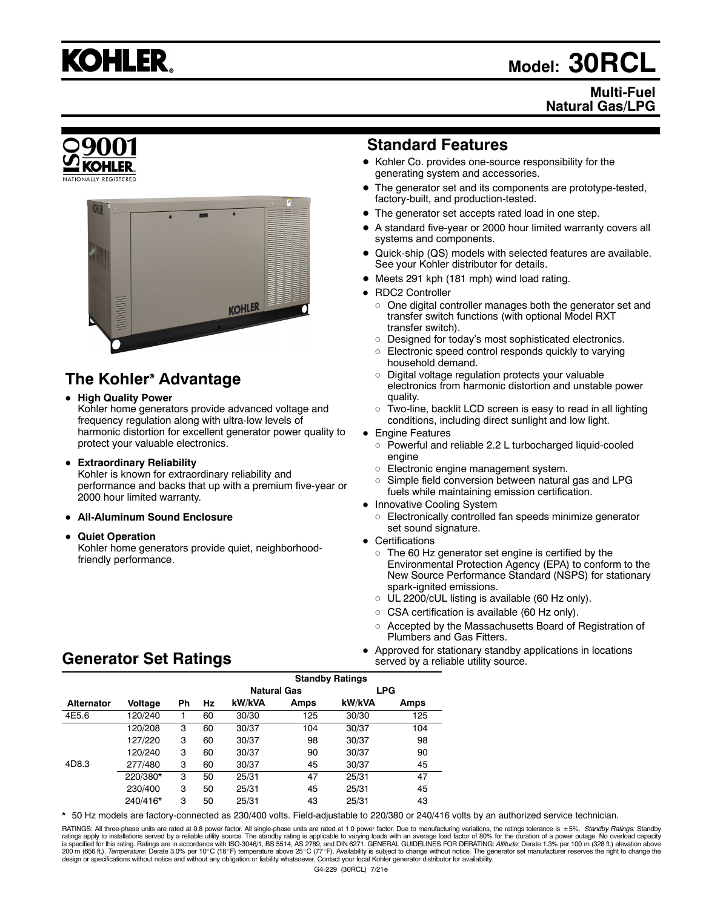

# **Model: 30RCL**

#### **Multi-Fuel Natural Gas/LPG**



## **The Kohler<sup>®</sup> Advantage**

**• High Quality Power** 

Kohler home generators provide advanced voltage and frequency regulation along with ultra-low levels of harmonic distortion for excellent generator power quality to protect your valuable electronics.

**• Extraordinary Reliability** 

Kohler is known for extraordinary reliability and performance and backs that up with a premium five-year or 2000 hour limited warranty.

- **All-Aluminum Sound Enclosure**
- **Quiet Operation**

Kohler home generators provide quiet, neighborhoodfriendly performance.

## **Standard Features**

- $\bullet$  Kohler Co. provides one-source responsibility for the generating system and accessories.
- The generator set and its components are prototype-tested, factory-built, and production-tested.
- The generator set accepts rated load in one step.
- A standard five-year or 2000 hour limited warranty covers all systems and components.
- Quick-ship (QS) models with selected features are available. See your Kohler distributor for details.
- Meets 291 kph (181 mph) wind load rating.
- RDC2 Controller
	- $\circ$  One digital controller manages both the generator set and transfer switch functions (with optional Model RXT transfer switch).
	- o Designed for today's most sophisticated electronics.
	- $\circ$  Electronic speed control responds quickly to varying household demand.
	- $\circ$  Digital voltage regulation protects your valuable electronics from harmonic distortion and unstable power quality.
	- $\circ$  Two-line, backlit LCD screen is easy to read in all lighting conditions, including direct sunlight and low light.
- Engine Features
	- o Powerful and reliable 2.2 L turbocharged liquid-cooled engine
	- o Electronic engine management system.
	- Simple field conversion between natural gas and LPG fuels while maintaining emission certification.
- Innovative Cooling System
	- o Electronically controlled fan speeds minimize generator set sound signature.
- Certifications
	- $\circ$  The 60 Hz generator set engine is certified by the Environmental Protection Agency (EPA) to conform to the New Source Performance Standard (NSPS) for stationary spark-ignited emissions.
	- o UL 2200/cUL listing is available (60 Hz only).
	- o CSA certification is available (60 Hz only).
	- o Accepted by the Massachusetts Board of Registration of Plumbers and Gas Fitters.
- Approved for stationary standby applications in locations served by a reliable utility source.

## **Generator Set Ratings**

|                   |          |           |    | <b>Standby Ratings</b> |      |            |      |
|-------------------|----------|-----------|----|------------------------|------|------------|------|
|                   |          |           |    | <b>Natural Gas</b>     |      | <b>LPG</b> |      |
| <b>Alternator</b> | Voltage  | <b>Ph</b> | Hz | kW/kVA                 | Amps | kW/kVA     | Amps |
| 4E5.6             | 120/240  |           | 60 | 30/30                  | 125  | 30/30      | 125  |
|                   | 120/208  | 3         | 60 | 30/37                  | 104  | 30/37      | 104  |
|                   | 127/220  | 3         | 60 | 30/37                  | 98   | 30/37      | 98   |
|                   | 120/240  | 3         | 60 | 30/37                  | 90   | 30/37      | 90   |
| 4D8.3             | 277/480  | 3         | 60 | 30/37                  | 45   | 30/37      | 45   |
|                   | 220/380* | 3         | 50 | 25/31                  | 47   | 25/31      | 47   |
|                   | 230/400  | 3         | 50 | 25/31                  | 45   | 25/31      | 45   |
|                   | 240/416* | 3         | 50 | 25/31                  | 43   | 25/31      | 43   |

\* 50 Hz models are factory-connected as 230/400 volts. Field-adjustable to 220/380 or 240/416 volts by an authorized service technician.

RATINGS: All three-phase units are rated at 0.8 power factor. All single-phase units are rated at 1.0 power factor. Due to manufacturing variations, the ratings tolerance is ±5%. *Standby Ratings:* Standby ratings apply to installations served by a reliable utility source. The standby rating is applicable to varying loads with an average load factor of 80% for the duration of a power outage. No overload capacity<br>is specifie design or specifications without notice and without any obligation or liability whatsoever. Contact your local Kohler generator distributor for availability.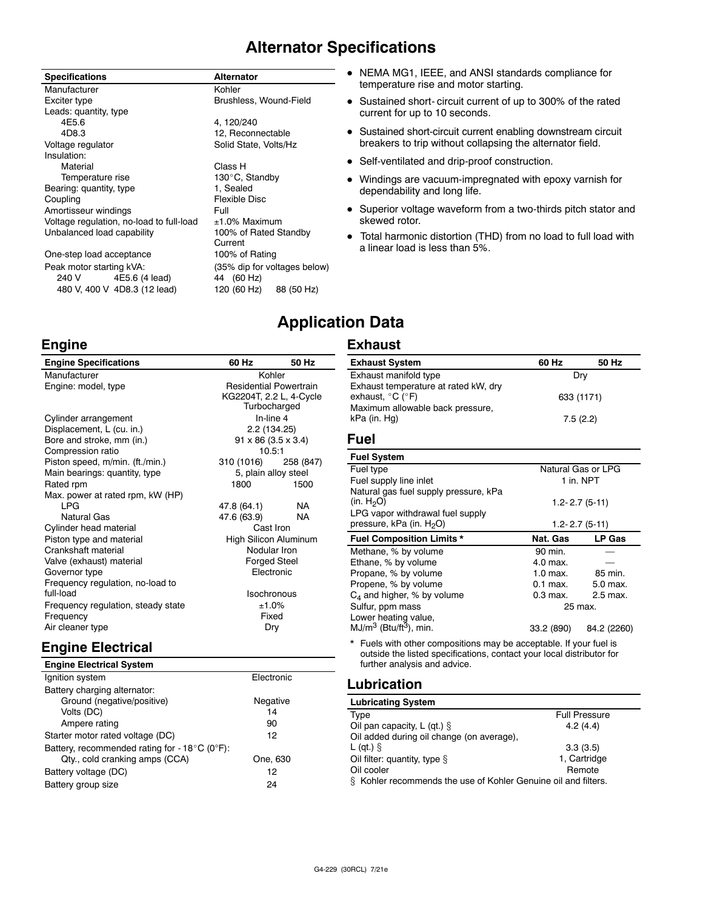## **Alternator Specifications**

| <b>Specifications</b> |
|-----------------------|
|-----------------------|

| Manufacturer                             | Kohler        |
|------------------------------------------|---------------|
| Exciter type                             | Brushless.    |
| Leads: quantity, type                    |               |
| 4E5.6                                    | 4, 120/240    |
| 4D8.3                                    | 12. Reconi    |
| Voltage regulator                        | Solid State   |
| Insulation:                              |               |
| Material                                 | Class H       |
| Temperature rise                         | 130°C, Sta    |
| Bearing: quantity, type                  | 1. Sealed     |
| Coupling                                 | Flexible Di   |
| Amortisseur windings                     | Full          |
| Voltage regulation, no-load to full-load | $±1.0\%$ Max  |
| Unbalanced load capability               | 100% of R     |
|                                          | Current       |
| One-step load acceptance                 | 100% of R     |
| Peak motor starting kVA:                 | $(35%$ dip fo |
|                                          |               |

less, Wound-Field econnectable State, Volts/Hz ), Standb<mark>y</mark><br>iled le Disc Maximum of Rated Standby nt of Rating dip for voltages below) 240 V 4E5.6 (4 lead) 44 (60 Hz) 480 V, 400 V 4D8.3 (12 lead) 120 (60 Hz) 88 (50 Hz)

**Specifications Alternator**

- NEMA MG1, IEEE, and ANSI standards compliance for temperature rise and motor starting.
- Sustained short- circuit current of up to 300% of the rated current for up to 10 seconds.
- Sustained short-circuit current enabling downstream circuit breakers to trip without collapsing the alternator field.
- Self-ventilated and drip-proof construction.
- Windings are vacuum-impregnated with epoxy varnish for dependability and long life.
- Superior voltage waveform from a two-thirds pitch stator and skewed rotor.
- $\bullet$  Total harmonic distortion (THD) from no load to full load with a linear load is less than 5%.

## **Application Data**

#### **Exhaust**

| <b>Engine Specifications</b>                         | 60 Hz                | 50 Hz                                                                    | <b>Exhaust System</b>                                                                                                                       | 60 Hz      | 50 Hz              |
|------------------------------------------------------|----------------------|--------------------------------------------------------------------------|---------------------------------------------------------------------------------------------------------------------------------------------|------------|--------------------|
| Manufacturer                                         | Kohler               |                                                                          | Exhaust manifold type<br>Dry                                                                                                                |            |                    |
| Engine: model, type                                  |                      | <b>Residential Powertrain</b><br>KG2204T, 2.2 L, 4-Cycle<br>Turbocharged | Exhaust temperature at rated kW, dry<br>exhaust, $^{\circ}$ C ( $^{\circ}$ F)<br>Maximum allowable back pressure,                           |            | 633 (1171)         |
| Cylinder arrangement                                 |                      | In-line 4                                                                | kPa (in. Hg)                                                                                                                                |            | 7.5(2.2)           |
| Displacement, L (cu. in.)                            |                      | 2.2 (134.25)                                                             |                                                                                                                                             |            |                    |
| Bore and stroke, mm (in.)                            |                      | $91 \times 86$ (3.5 $\times$ 3.4)                                        | Fuel                                                                                                                                        |            |                    |
| Compression ratio<br>Piston speed, m/min. (ft./min.) | 10.5:1<br>310 (1016) | 258 (847)                                                                | <b>Fuel System</b>                                                                                                                          |            |                    |
| Main bearings: quantity, type                        |                      | 5, plain alloy steel                                                     | Fuel type                                                                                                                                   |            | Natural Gas or LPG |
| Rated rpm                                            | 1800                 | 1500                                                                     | Fuel supply line inlet                                                                                                                      |            | 1 in. NPT          |
| Max. power at rated rpm, kW (HP)                     |                      |                                                                          | Natural gas fuel supply pressure, kPa                                                                                                       |            |                    |
| <b>LPG</b>                                           | 47.8 (64.1)          | <b>NA</b>                                                                | (in. $H_2O$ )                                                                                                                               |            | $1.2 - 2.7(5-11)$  |
| <b>Natural Gas</b>                                   | 47.6 (63.9)          | <b>NA</b>                                                                | LPG vapor withdrawal fuel supply                                                                                                            |            |                    |
| Cylinder head material                               | Cast Iron            |                                                                          | pressure, kPa (in. $H_2O$ )                                                                                                                 |            | $1.2 - 2.7(5-11)$  |
| Piston type and material                             |                      | High Silicon Aluminum                                                    | <b>Fuel Composition Limits *</b>                                                                                                            | Nat. Gas   | LP Gas             |
| Crankshaft material                                  |                      | Nodular Iron                                                             | Methane, % by volume                                                                                                                        | 90 min.    |                    |
| Valve (exhaust) material                             |                      | <b>Forged Steel</b>                                                      | Ethane, % by volume                                                                                                                         | 4.0 max.   |                    |
| Governor type                                        |                      | Electronic                                                               | Propane, % by volume                                                                                                                        | $1.0$ max. | 85 min.            |
| Frequency regulation, no-load to                     |                      |                                                                          | Propene, % by volume                                                                                                                        | $0.1$ max. | 5.0 max.           |
| full-load                                            |                      | Isochronous                                                              | $C_4$ and higher, % by volume                                                                                                               | $0.3$ max. | 2.5 max.           |
| Frequency regulation, steady state                   | ±1.0%                |                                                                          | Sulfur, ppm mass                                                                                                                            |            | 25 max.            |
| Frequency                                            |                      | Fixed                                                                    | Lower heating value,                                                                                                                        |            |                    |
| Air cleaner type                                     |                      | Dry                                                                      | $MJ/m3$ (Btu/ft <sup>3</sup> ), min.                                                                                                        | 33.2 (890) | 84.2 (2260)        |
| <b>Engine Electrical</b>                             |                      |                                                                          | * Fuels with other compositions may be acceptable. If your fuel is<br>outside the listed specifications, contact your local distributor for |            |                    |
| <b>Engine Electrical System</b>                      |                      |                                                                          | further analysis and advice.                                                                                                                |            |                    |

| <b>Lubricating System</b>                                         |                      |
|-------------------------------------------------------------------|----------------------|
| Type                                                              | <b>Full Pressure</b> |
| Oil pan capacity, L (qt.) $\S$                                    | 4.2(4.4)             |
| Oil added during oil change (on average).                         |                      |
| $L$ (qt.) $\hat{S}$                                               | 3.3(3.5)             |
| Oil filter: quantity, type $\S$                                   | 1. Cartridge         |
| Oil cooler                                                        | Remote               |
| Kohler recommends the use of Kohler Genuine oil and filters.<br>8 |                      |

## **Engine**

Volts (DC)

Ampere rating 90 Starter motor rated voltage (DC) 12

Qty., cold cranking amps (CCA) One, 630 Battery voltage (DC) 12 Battery group size 24

Battery, recommended rating for -  $18^{\circ}$ C (0°F):

|                                                   |                                                   | KG2204T, 2.2 L, 4-Cycle | exhaust, $^{\circ}$ C ( $^{\circ}$ F)                                   |  |  |
|---------------------------------------------------|---------------------------------------------------|-------------------------|-------------------------------------------------------------------------|--|--|
| Turbocharged<br>In-line 4<br>Cylinder arrangement |                                                   |                         | Maximum allowable back pressure<br>kPa (in. Hg)                         |  |  |
| Displacement, L (cu. in.)                         |                                                   |                         |                                                                         |  |  |
| Bore and stroke, mm (in.)                         | 2.2 (134.25)<br>$91 \times 86$ (3.5 $\times$ 3.4) |                         | Fuel                                                                    |  |  |
| Compression ratio                                 | 10.5:1                                            |                         |                                                                         |  |  |
| Piston speed, m/min. (ft./min.)                   | 310 (1016)                                        | 258 (847)               | <b>Fuel System</b>                                                      |  |  |
| Main bearings: quantity, type                     | 5, plain alloy steel                              |                         | Fuel type                                                               |  |  |
| Rated rpm                                         | 1800                                              | 1500                    | Fuel supply line inlet                                                  |  |  |
| Max. power at rated rpm, kW (HP)                  |                                                   |                         | Natural gas fuel supply pressure, k                                     |  |  |
| <b>IPG</b>                                        | 47.8 (64.1)                                       | NA.                     | (in. $H_2O$ )                                                           |  |  |
| <b>Natural Gas</b>                                | 47.6 (63.9)                                       | NA.                     | LPG vapor withdrawal fuel supply                                        |  |  |
| Cylinder head material                            | Cast Iron                                         |                         | pressure, kPa (in. H <sub>2</sub> O)                                    |  |  |
| Piston type and material                          | High Silicon Aluminum                             |                         | <b>Fuel Composition Limits *</b>                                        |  |  |
| Crankshaft material                               | Nodular Iron                                      |                         | Methane, % by volume                                                    |  |  |
| Valve (exhaust) material                          | <b>Forged Steel</b>                               |                         | Ethane, % by volume                                                     |  |  |
| Governor type                                     |                                                   | Electronic              | Propane, % by volume                                                    |  |  |
| Frequency regulation, no-load to                  |                                                   |                         | Propene, % by volume                                                    |  |  |
| full-load                                         | <b>Isochronous</b>                                |                         | $C_4$ and higher, % by volume                                           |  |  |
| Frequency regulation, steady state                | ±1.0%                                             |                         | Sulfur, ppm mass                                                        |  |  |
| Frequency                                         | Fixed                                             |                         | Lower heating value,                                                    |  |  |
| Air cleaner type                                  |                                                   | Dry                     | $MJ/m3$ (Btu/ft <sup>3</sup> ), min.                                    |  |  |
| Engine Electrical                                 |                                                   |                         | * Fuels with other compositions m<br>outside the listed specifications, |  |  |
| <b>Engine Electrical System</b>                   |                                                   |                         | further analysis and advice.                                            |  |  |
| Ignition system                                   | Electronic                                        |                         | <b>Lubrication</b>                                                      |  |  |
| Battery charging alternator:                      |                                                   |                         |                                                                         |  |  |
| Ground (negative/positive)                        | Negative                                          |                         | <b>Lubricating System</b>                                               |  |  |
| Volts (DC)                                        |                                                   | 14                      | T <sub>1</sub>                                                          |  |  |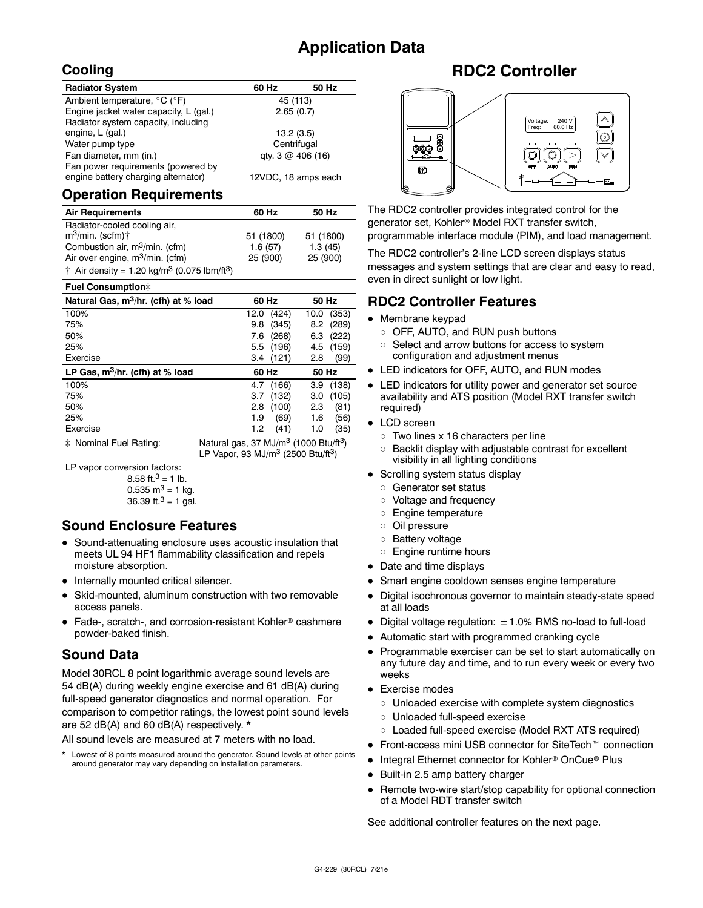## **Application Data**

## **Cooling**

| <b>Radiator System</b>                                                    | 60 Hz               | 50 Hz |
|---------------------------------------------------------------------------|---------------------|-------|
| Ambient temperature, °C (°F)                                              | 45 (113)            |       |
| Engine jacket water capacity, L (gal.)                                    | 2.65(0.7)           |       |
| Radiator system capacity, including                                       |                     |       |
| engine, L (gal.)                                                          | 13.2(3.5)           |       |
| Water pump type                                                           | Centrifugal         |       |
| Fan diameter, mm (in.)                                                    | qty. 3 @ 406 (16)   |       |
| Fan power requirements (powered by<br>engine battery charging alternator) | 12VDC, 18 amps each |       |

#### **Operation Requirements**

| <b>Air Requirements</b>                                             | 60 Hz     | 50 Hz     |
|---------------------------------------------------------------------|-----------|-----------|
| Radiator-cooled cooling air,                                        |           |           |
| $m^3$ /min. (scfm) $\dagger$                                        | 51 (1800) | 51 (1800) |
| Combustion air, m <sup>3</sup> /min. (cfm)                          | 1.6(57)   | 1.3(45)   |
| Air over engine, $m^3$ /min. (cfm)                                  | 25 (900)  | 25 (900)  |
| † Air density = 1.20 kg/m <sup>3</sup> (0.075 lbm/ft <sup>3</sup> ) |           |           |

| <b>Fuel Consumption#</b>                         |                                                                                                                             |           |       |       |  |
|--------------------------------------------------|-----------------------------------------------------------------------------------------------------------------------------|-----------|-------|-------|--|
| Natural Gas, m <sup>3</sup> /hr. (cfh) at % load | 60 Hz                                                                                                                       |           | 50 Hz |       |  |
| 100%                                             | 12.0                                                                                                                        | (424)     | 10.0  | (353) |  |
| 75%                                              | 9.8                                                                                                                         | (345)     | 8.2   | (289) |  |
| 50%                                              | 7.6                                                                                                                         | (268)     | 6.3   | (222) |  |
| 25%                                              | 5.5                                                                                                                         | (196)     | 4.5   | (159) |  |
| Exercise                                         |                                                                                                                             | 3.4(121)  | 2.8   | (99)  |  |
| LP Gas, $m^3/hr$ . (cfh) at % load               | 60 Hz                                                                                                                       |           | 50 Hz |       |  |
| 100%                                             |                                                                                                                             | 4.7 (166) | 3.9   | (138) |  |
| 75%                                              | 3.7                                                                                                                         | (132)     | 3.0   | (105) |  |
| 50%                                              | 2.8                                                                                                                         | (100)     | 2.3   | (81)  |  |
| 25%                                              | 1.9                                                                                                                         | (69)      | 1.6   | (56)  |  |
| Exercise                                         | 1.2                                                                                                                         | (41)      | 1.0   | (35)  |  |
| * Nominal Fuel Rating:                           | Natural gas, 37 MJ/m <sup>3</sup> (1000 Btu/ft <sup>3</sup> )<br>LP Vapor, 93 MJ/m <sup>3</sup> (2500 Btu/ft <sup>3</sup> ) |           |       |       |  |

LP vapor conversion factors:

8.58 ft. $3 = 1$  lb.  $0.535$  m<sup>3</sup> = 1 kg. 36.39 ft. $3 = 1$  gal.

#### **Sound Enclosure Features**

- Sound-attenuating enclosure uses acoustic insulation that meets UL 94 HF1 flammability classification and repels moisture absorption.
- Internally mounted critical silencer.
- Skid-mounted, aluminum construction with two removable access panels.
- $\bullet$  Fade-, scratch-, and corrosion-resistant Kohler<sup>®</sup> cashmere powder-baked finish.

## **Sound Data**

Model 30RCL 8 point logarithmic average sound levels are 54 dB(A) during weekly engine exercise and 61 dB(A) during full-speed generator diagnostics and normal operation. For comparison to competitor ratings, the lowest point sound levels are 52 dB(A) and 60 dB(A) respectively. \*

All sound levels are measured at 7 meters with no load.

Lowest of 8 points measured around the generator. Sound levels at other points around generator may vary depending on installation parameters.

## **RDC2 Controller**



The RDC2 controller provides integrated control for the generator set, Kohler<sup>®</sup> Model RXT transfer switch, programmable interface module (PIM), and load management.

The RDC2 controller's 2-line LCD screen displays status messages and system settings that are clear and easy to read, even in direct sunlight or low light.

### **RDC2 Controller Features**

- $\bullet$  Membrane keypad
	- OFF, AUTO, and RUN push buttons
	- o Select and arrow buttons for access to system configuration and adjustment menus
- LED indicators for OFF, AUTO, and RUN modes
- LED indicators for utility power and generator set source availability and ATS position (Model RXT transfer switch required)
- LCD screen
	- $\circ$  Two lines x 16 characters per line
	- $\circ$  Backlit display with adjustable contrast for excellent visibility in all lighting conditions
- Scrolling system status display
	- o Generator set status
	- o Voltage and frequency
	- o Engine temperature
	- o Oil pressure
	- o Battery voltage
	- o Engine runtime hours
- Date and time displays
- Smart engine cooldown senses engine temperature
- Digital isochronous governor to maintain steady-state speed at all loads
- $\bullet$  Digital voltage regulation:  $\pm$  1.0% RMS no-load to full-load
- Automatic start with programmed cranking cycle
- Programmable exerciser can be set to start automatically on any future day and time, and to run every week or every two weeks
- $\bullet$  Exercise modes
	- $\circ$  Unloaded exercise with complete system diagnostics
	- o Unloaded full-speed exercise
	- o Loaded full-speed exercise (Model RXT ATS required)
- Front-access mini USB connector for SiteTech<sup>™</sup> connection
- Integral Ethernet connector for Kohler<sup>®</sup> OnCue<sup>®</sup> Plus
- Built-in 2.5 amp battery charger
- Remote two-wire start/stop capability for optional connection of a Model RDT transfer switch

See additional controller features on the next page.